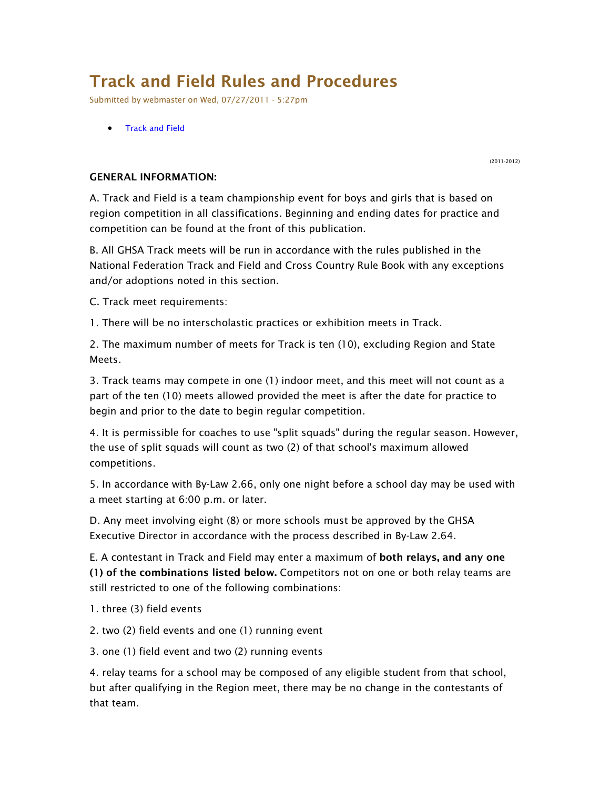# **Track and Field Rules and Procedures**

*Submitted by webmaster on Wed, 07/27/2011 - 5:27pm*

• *Track and Field*

*(2011-2012)*

## **GENERAL INFORMATION:**

*A. Track and Field is a team championship event for boys and girls that is based on region competition in all classifications. Beginning and ending dates for practice and competition can be found at the front of this publication.* 

*B. All GHSA Track meets will be run in accordance with the rules published in the National Federation Track and Field and Cross Country Rule Book with any exceptions and/or adoptions noted in this section.* 

*C. Track meet requirements:* 

*1. There will be no interscholastic practices or exhibition meets in Track.* 

*2. The maximum number of meets for Track is ten (10), excluding Region and State Meets.* 

*3. Track teams may compete in one (1) indoor meet, and this meet will not count as a part of the ten (10) meets allowed provided the meet is after the date for practice to begin and prior to the date to begin regular competition.* 

*4. It is permissible for coaches to use "split squads" during the regular season. However, the use of split squads will count as two (2) of that school's maximum allowed competitions.* 

*5. In accordance with By-Law 2.66, only one night before a school day may be used with a meet starting at 6:00 p.m. or later.* 

*D. Any meet involving eight (8) or more schools must be approved by the GHSA Executive Director in accordance with the process described in By-Law 2.64.* 

*E. A contestant in Track and Field may enter a maximum of* **both relays, and any one (1) of the combinations listed below.** *Competitors not on one or both relay teams are still restricted to one of the following combinations:* 

*1. three (3) field events* 

*2. two (2) field events and one (1) running event* 

*3. one (1) field event and two (2) running events* 

*4. relay teams for a school may be composed of any eligible student from that school, but after qualifying in the Region meet, there may be no change in the contestants of that team.*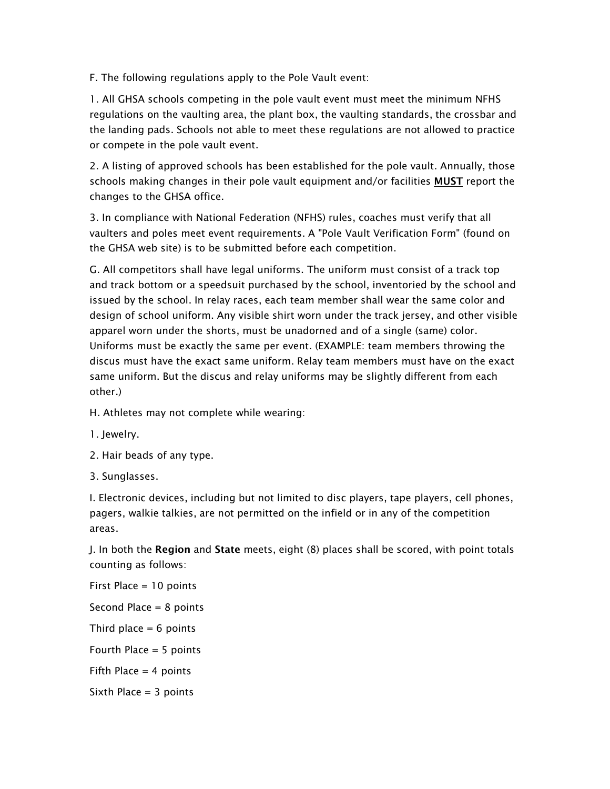*F. The following regulations apply to the Pole Vault event:* 

*1. All GHSA schools competing in the pole vault event must meet the minimum NFHS regulations on the vaulting area, the plant box, the vaulting standards, the crossbar and the landing pads. Schools not able to meet these regulations are not allowed to practice or compete in the pole vault event.* 

*2. A listing of approved schools has been established for the pole vault. Annually, those schools making changes in their pole vault equipment and/or facilities* **MUST** *report the changes to the GHSA office.* 

*3. In compliance with National Federation (NFHS) rules, coaches must verify that all vaulters and poles meet event requirements. A "Pole Vault Verification Form" (found on the GHSA web site) is to be submitted before each competition.* 

*G. All competitors shall have legal uniforms. The uniform must consist of a track top and track bottom or a speedsuit purchased by the school, inventoried by the school and issued by the school. In relay races, each team member shall wear the same color and design of school uniform. Any visible shirt worn under the track jersey, and other visible apparel worn under the shorts, must be unadorned and of a single (same) color. Uniforms must be exactly the same per event. (EXAMPLE: team members throwing the discus must have the exact same uniform. Relay team members must have on the exact same uniform. But the discus and relay uniforms may be slightly different from each other.)* 

*H. Athletes may not complete while wearing:* 

- *1. Jewelry.*
- *2. Hair beads of any type.*

*3. Sunglasses.* 

*I. Electronic devices, including but not limited to disc players, tape players, cell phones, pagers, walkie talkies, are not permitted on the infield or in any of the competition areas.* 

*J. In both the* **Region** *and* **State** *meets, eight (8) places shall be scored, with point totals counting as follows:* 

*First Place = 10 points Second Place = 8 points Third place = 6 points Fourth Place = 5 points Fifth Place = 4 points Sixth Place = 3 points*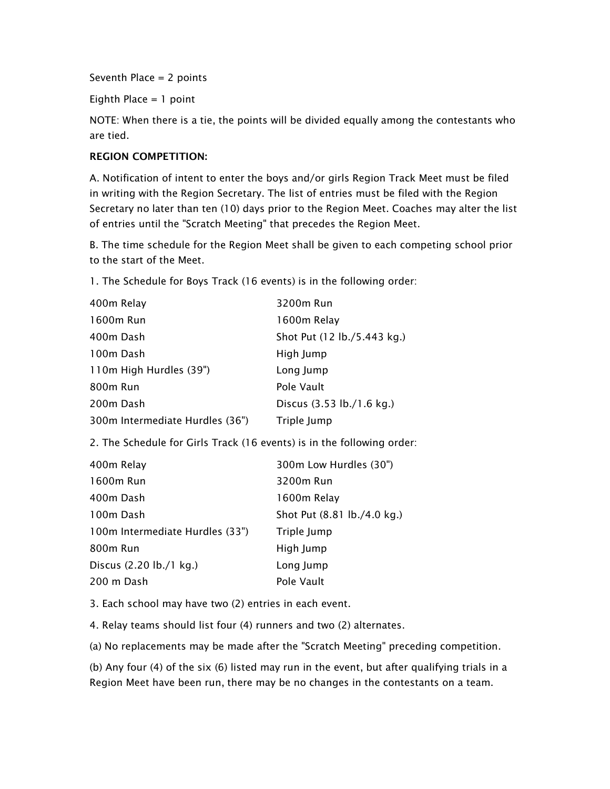*Seventh Place = 2 points* 

*Eighth Place = 1 point* 

*NOTE: When there is a tie, the points will be divided equally among the contestants who are tied.* 

## **REGION COMPETITION:**

*A. Notification of intent to enter the boys and/or girls Region Track Meet must be filed in writing with the Region Secretary. The list of entries must be filed with the Region Secretary no later than ten (10) days prior to the Region Meet. Coaches may alter the list of entries until the "Scratch Meeting" that precedes the Region Meet.* 

*B. The time schedule for the Region Meet shall be given to each competing school prior to the start of the Meet.* 

*1. The Schedule for Boys Track (16 events) is in the following order:* 

| 400m Relay                      | 3200m Run                   |
|---------------------------------|-----------------------------|
| 1600m Run                       | 1600m Relay                 |
| 400m Dash                       | Shot Put (12 lb./5.443 kg.) |
| 100m Dash                       | High Jump                   |
| 110m High Hurdles (39")         | Long Jump                   |
| 800m Run                        | Pole Vault                  |
| 200m Dash                       | Discus (3.53 lb./1.6 kg.)   |
| 300m Intermediate Hurdles (36") | Triple Jump                 |

*2. The Schedule for Girls Track (16 events) is in the following order:* 

| 300m Low Hurdles (30")      |
|-----------------------------|
| 3200m Run                   |
| 1600m Relay                 |
| Shot Put (8.81 lb./4.0 kg.) |
| Triple Jump                 |
| High Jump                   |
| Long Jump                   |
| Pole Vault                  |
|                             |

*3. Each school may have two (2) entries in each event.* 

*4. Relay teams should list four (4) runners and two (2) alternates.* 

*(a) No replacements may be made after the "Scratch Meeting" preceding competition.* 

*(b) Any four (4) of the six (6) listed may run in the event, but after qualifying trials in a Region Meet have been run, there may be no changes in the contestants on a team.*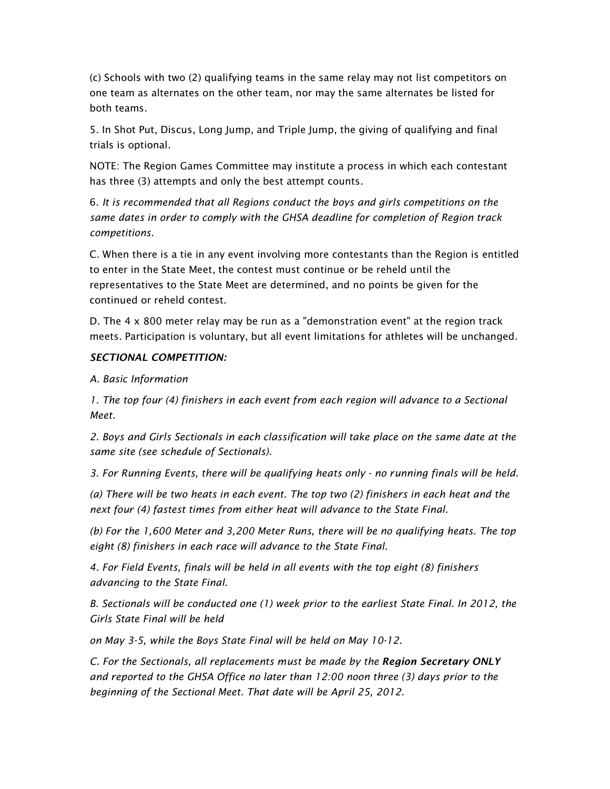*(c) Schools with two (2) qualifying teams in the same relay may not list competitors on one team as alternates on the other team, nor may the same alternates be listed for both teams.* 

*5. In Shot Put, Discus, Long Jump, and Triple Jump, the giving of qualifying and final trials is optional.* 

*NOTE: The Region Games Committee may institute a process in which each contestant has three (3) attempts and only the best attempt counts.* 

*6. It is recommended that all Regions conduct the boys and girls competitions on the same dates in order to comply with the GHSA deadline for completion of Region track competitions.* 

*C. When there is a tie in any event involving more contestants than the Region is entitled to enter in the State Meet, the contest must continue or be reheld until the representatives to the State Meet are determined, and no points be given for the continued or reheld contest.* 

*D. The 4 x 800 meter relay may be run as a "demonstration event" at the region track meets. Participation is voluntary, but all event limitations for athletes will be unchanged.* 

# *SECTIONAL COMPETITION:*

*A. Basic Information* 

*1. The top four (4) finishers in each event from each region will advance to a Sectional Meet.* 

*2. Boys and Girls Sectionals in each classification will take place on the same date at the same site (see schedule of Sectionals).* 

*3. For Running Events, there will be qualifying heats only - no running finals will be held.* 

*(a) There will be two heats in each event. The top two (2) finishers in each heat and the next four (4) fastest times from either heat will advance to the State Final.* 

*(b) For the 1,600 Meter and 3,200 Meter Runs, there will be no qualifying heats. The top eight (8) finishers in each race will advance to the State Final.* 

*4. For Field Events, finals will be held in all events with the top eight (8) finishers advancing to the State Final.* 

*B. Sectionals will be conducted one (1) week prior to the earliest State Final. In 2012, the Girls State Final will be held* 

*on May 3-5, while the Boys State Final will be held on May 10-12.* 

*C. For the Sectionals, all replacements must be made by the Region Secretary ONLY and reported to the GHSA Office no later than 12:00 noon three (3) days prior to the beginning of the Sectional Meet. That date will be April 25, 2012.*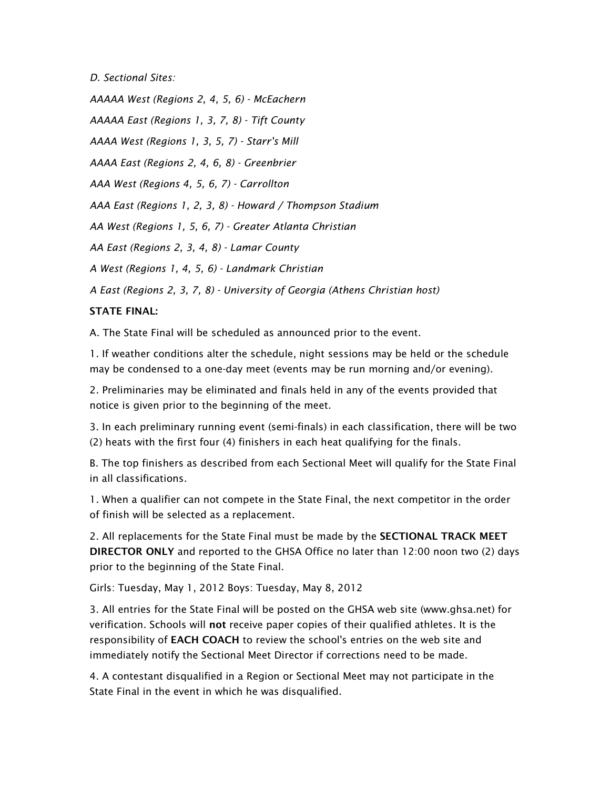*D. Sectional Sites:* 

*AAAAA West (Regions 2, 4, 5, 6) - McEachern* 

*AAAAA East (Regions 1, 3, 7, 8) - Tift County* 

*AAAA West (Regions 1, 3, 5, 7) - Starr's Mill* 

*AAAA East (Regions 2, 4, 6, 8) - Greenbrier* 

*AAA West (Regions 4, 5, 6, 7) - Carrollton* 

*AAA East (Regions 1, 2, 3, 8) - Howard / Thompson Stadium* 

*AA West (Regions 1, 5, 6, 7) - Greater Atlanta Christian* 

*AA East (Regions 2, 3, 4, 8) - Lamar County* 

*A West (Regions 1, 4, 5, 6) - Landmark Christian* 

*A East (Regions 2, 3, 7, 8) - University of Georgia (Athens Christian host)* 

## **STATE FINAL:**

*A. The State Final will be scheduled as announced prior to the event.* 

*1. If weather conditions alter the schedule, night sessions may be held or the schedule may be condensed to a one-day meet (events may be run morning and/or evening).* 

*2. Preliminaries may be eliminated and finals held in any of the events provided that notice is given prior to the beginning of the meet.* 

*3. In each preliminary running event (semi-finals) in each classification, there will be two (2) heats with the first four (4) finishers in each heat qualifying for the finals.* 

B. The top finishers as described from each Sectional Meet will qualify for the State Final *in all classifications.* 

*1. When a qualifier can not compete in the State Final, the next competitor in the order of finish will be selected as a replacement.* 

*2. All replacements for the State Final must be made by the* **SECTIONAL TRACK MEET DIRECTOR ONLY** *and reported to the GHSA Office no later than 12:00 noon two (2) days prior to the beginning of the State Final.* 

*Girls: Tuesday, May 1, 2012 Boys: Tuesday, May 8, 2012* 

*3. All entries for the State Final will be posted on the GHSA web site (www.ghsa.net) for verification. Schools will* **not** *receive paper copies of their qualified athletes. It is the responsibility of* **EACH COACH** *to review the school's entries on the web site and immediately notify the Sectional Meet Director if corrections need to be made.* 

*4. A contestant disqualified in a Region or Sectional Meet may not participate in the State Final in the event in which he was disqualified.*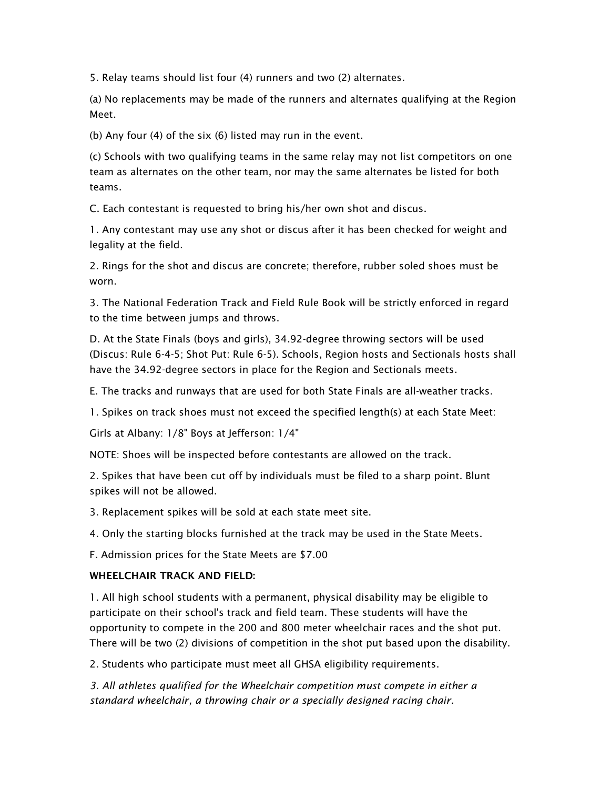*5. Relay teams should list four (4) runners and two (2) alternates.* 

*(a) No replacements may be made of the runners and alternates qualifying at the Region Meet.* 

*(b) Any four (4) of the six (6) listed may run in the event.* 

*(c) Schools with two qualifying teams in the same relay may not list competitors on one team as alternates on the other team, nor may the same alternates be listed for both teams.* 

*C. Each contestant is requested to bring his/her own shot and discus.* 

*1. Any contestant may use any shot or discus after it has been checked for weight and legality at the field.* 

*2. Rings for the shot and discus are concrete; therefore, rubber soled shoes must be worn.* 

*3. The National Federation Track and Field Rule Book will be strictly enforced in regard to the time between jumps and throws.* 

*D. At the State Finals (boys and girls), 34.92-degree throwing sectors will be used (Discus: Rule 6-4-5; Shot Put: Rule 6-5). Schools, Region hosts and Sectionals hosts shall have the 34.92-degree sectors in place for the Region and Sectionals meets.* 

*E. The tracks and runways that are used for both State Finals are all-weather tracks.* 

*1. Spikes on track shoes must not exceed the specified length(s) at each State Meet:* 

*Girls at Albany: 1/8" Boys at Jefferson: 1/4"* 

*NOTE: Shoes will be inspected before contestants are allowed on the track.* 

*2. Spikes that have been cut off by individuals must be filed to a sharp point. Blunt spikes will not be allowed.* 

*3. Replacement spikes will be sold at each state meet site.* 

*4. Only the starting blocks furnished at the track may be used in the State Meets.* 

*F. Admission prices for the State Meets are \$7.00* 

# **WHEELCHAIR TRACK AND FIELD:**

*1. All high school students with a permanent, physical disability may be eligible to participate on their school's track and field team. These students will have the opportunity to compete in the 200 and 800 meter wheelchair races and the shot put. There will be two (2) divisions of competition in the shot put based upon the disability.* 

*2. Students who participate must meet all GHSA eligibility requirements.* 

*3. All athletes qualified for the Wheelchair competition must compete in either a standard wheelchair, a throwing chair or a specially designed racing chair.*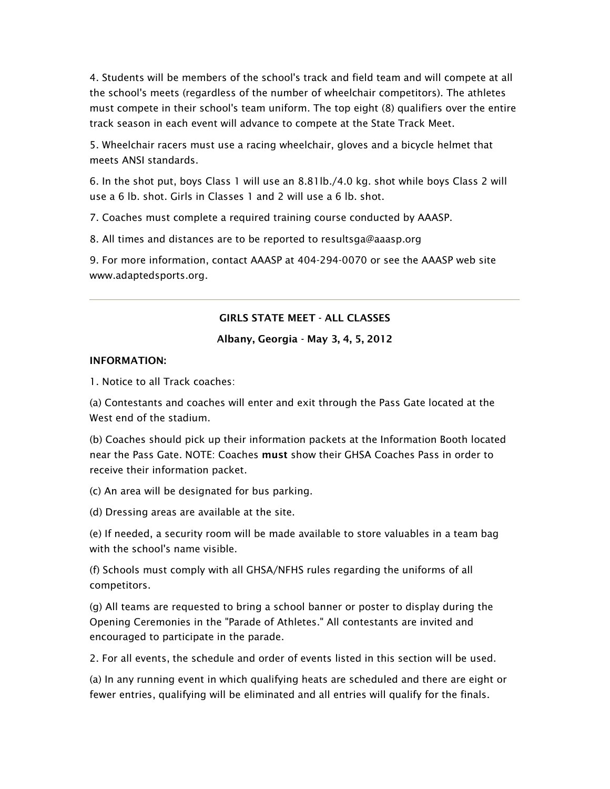*4. Students will be members of the school's track and field team and will compete at all the school's meets (regardless of the number of wheelchair competitors). The athletes must compete in their school's team uniform. The top eight (8) qualifiers over the entire track season in each event will advance to compete at the State Track Meet.* 

*5. Wheelchair racers must use a racing wheelchair, gloves and a bicycle helmet that meets ANSI standards.* 

*6. In the shot put, boys Class 1 will use an 8.81lb./4.0 kg. shot while boys Class 2 will use a 6 lb. shot. Girls in Classes 1 and 2 will use a 6 lb. shot.* 

*7. Coaches must complete a required training course conducted by AAASP.* 

*8. All times and distances are to be reported to resultsga@aaasp.org* 

*9. For more information, contact AAASP at 404-294-0070 or see the AAASP web site www.adaptedsports.org.* 

## **GIRLS STATE MEET - ALL CLASSES**

#### **Albany, Georgia - May 3, 4, 5, 2012**

#### **INFORMATION:**

*1. Notice to all Track coaches:* 

*(a) Contestants and coaches will enter and exit through the Pass Gate located at the West end of the stadium.* 

*(b) Coaches should pick up their information packets at the Information Booth located near the Pass Gate. NOTE: Coaches* **must** *show their GHSA Coaches Pass in order to receive their information packet.* 

*(c) An area will be designated for bus parking.* 

*(d) Dressing areas are available at the site.* 

*(e) If needed, a security room will be made available to store valuables in a team bag with the school's name visible.* 

*(f) Schools must comply with all GHSA/NFHS rules regarding the uniforms of all competitors.* 

*(g) All teams are requested to bring a school banner or poster to display during the Opening Ceremonies in the "Parade of Athletes." All contestants are invited and encouraged to participate in the parade.* 

*2. For all events, the schedule and order of events listed in this section will be used.* 

*(a) In any running event in which qualifying heats are scheduled and there are eight or fewer entries, qualifying will be eliminated and all entries will qualify for the finals.*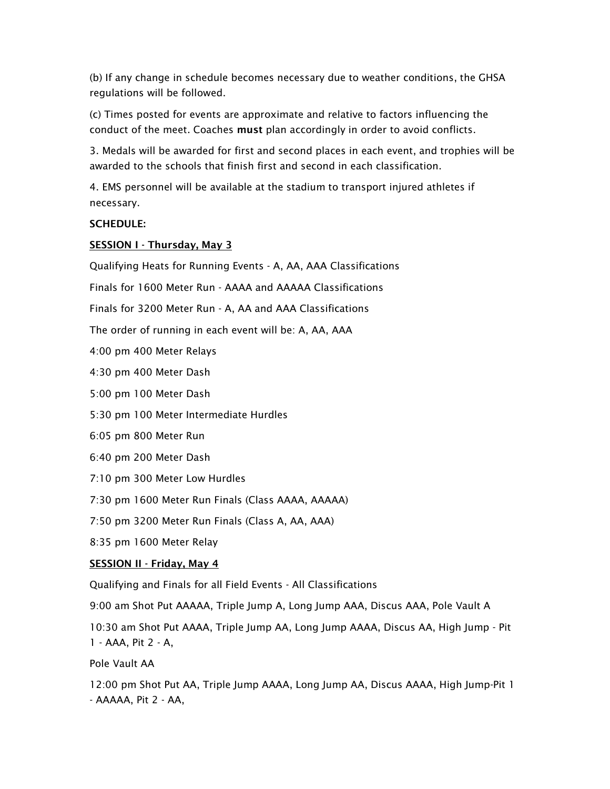*(b) If any change in schedule becomes necessary due to weather conditions, the GHSA regulations will be followed.* 

*(c) Times posted for events are approximate and relative to factors influencing the conduct of the meet. Coaches* **must** *plan accordingly in order to avoid conflicts.* 

*3. Medals will be awarded for first and second places in each event, and trophies will be awarded to the schools that finish first and second in each classification.* 

*4. EMS personnel will be available at the stadium to transport injured athletes if necessary.* 

## **SCHEDULE:**

## **SESSION I - Thursday, May 3**

*Qualifying Heats for Running Events - A, AA, AAA Classifications* 

*Finals for 1600 Meter Run - AAAA and AAAAA Classifications* 

*Finals for 3200 Meter Run - A, AA and AAA Classifications* 

*The order of running in each event will be: A, AA, AAA* 

*4:00 pm 400 Meter Relays* 

*4:30 pm 400 Meter Dash* 

*5:00 pm 100 Meter Dash* 

*5:30 pm 100 Meter Intermediate Hurdles* 

*6:05 pm 800 Meter Run* 

*6:40 pm 200 Meter Dash* 

*7:10 pm 300 Meter Low Hurdles* 

*7:30 pm 1600 Meter Run Finals (Class AAAA, AAAAA)* 

*7:50 pm 3200 Meter Run Finals (Class A, AA, AAA)* 

*8:35 pm 1600 Meter Relay* 

## **SESSION II - Friday, May 4**

*Qualifying and Finals for all Field Events - All Classifications* 

*9:00 am Shot Put AAAAA, Triple Jump A, Long Jump AAA, Discus AAA, Pole Vault A* 

*10:30 am Shot Put AAAA, Triple Jump AA, Long Jump AAAA, Discus AA, High Jump - Pit 1 - AAA, Pit 2 - A,* 

*Pole Vault AA* 

*12:00 pm Shot Put AA, Triple Jump AAAA, Long Jump AA, Discus AAAA, High Jump-Pit 1 - AAAAA, Pit 2 - AA,*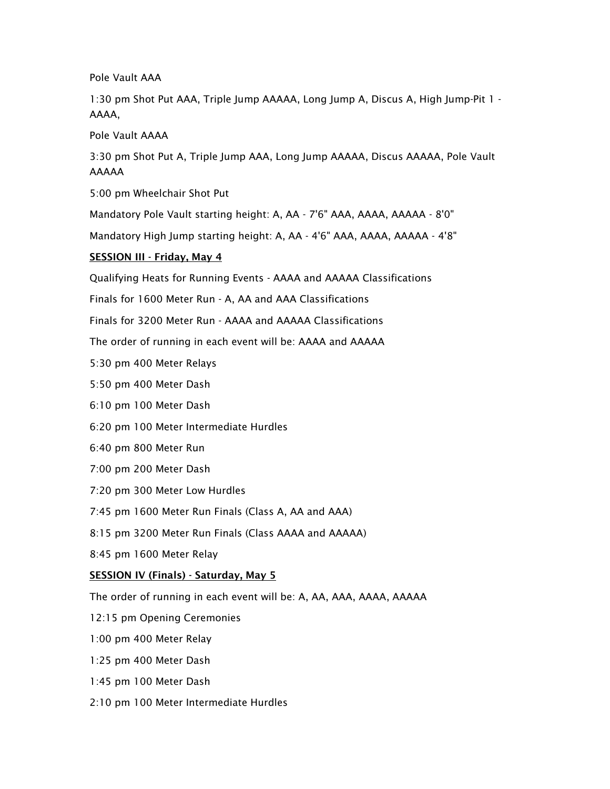*Pole Vault AAA* 

*1:30 pm Shot Put AAA, Triple Jump AAAAA, Long Jump A, Discus A, High Jump-Pit 1 - AAAA,* 

*Pole Vault AAAA* 

*3:30 pm Shot Put A, Triple Jump AAA, Long Jump AAAAA, Discus AAAAA, Pole Vault AAAAA* 

*5:00 pm Wheelchair Shot Put* 

*Mandatory Pole Vault starting height: A, AA - 7'6" AAA, AAAA, AAAAA - 8'0"* 

*Mandatory High Jump starting height: A, AA - 4'6" AAA, AAAA, AAAAA - 4'8"* 

## **SESSION III - Friday, May 4**

*Qualifying Heats for Running Events - AAAA and AAAAA Classifications* 

*Finals for 1600 Meter Run - A, AA and AAA Classifications* 

*Finals for 3200 Meter Run - AAAA and AAAAA Classifications* 

*The order of running in each event will be: AAAA and AAAAA* 

*5:30 pm 400 Meter Relays* 

*5:50 pm 400 Meter Dash* 

*6:10 pm 100 Meter Dash* 

*6:20 pm 100 Meter Intermediate Hurdles* 

*6:40 pm 800 Meter Run* 

- *7:00 pm 200 Meter Dash*
- *7:20 pm 300 Meter Low Hurdles*

*7:45 pm 1600 Meter Run Finals (Class A, AA and AAA)* 

*8:15 pm 3200 Meter Run Finals (Class AAAA and AAAAA)* 

*8:45 pm 1600 Meter Relay* 

## **SESSION IV (Finals) - Saturday, May 5**

*The order of running in each event will be: A, AA, AAA, AAAA, AAAAA* 

*12:15 pm Opening Ceremonies* 

*1:00 pm 400 Meter Relay* 

*1:25 pm 400 Meter Dash* 

*1:45 pm 100 Meter Dash* 

*2:10 pm 100 Meter Intermediate Hurdles*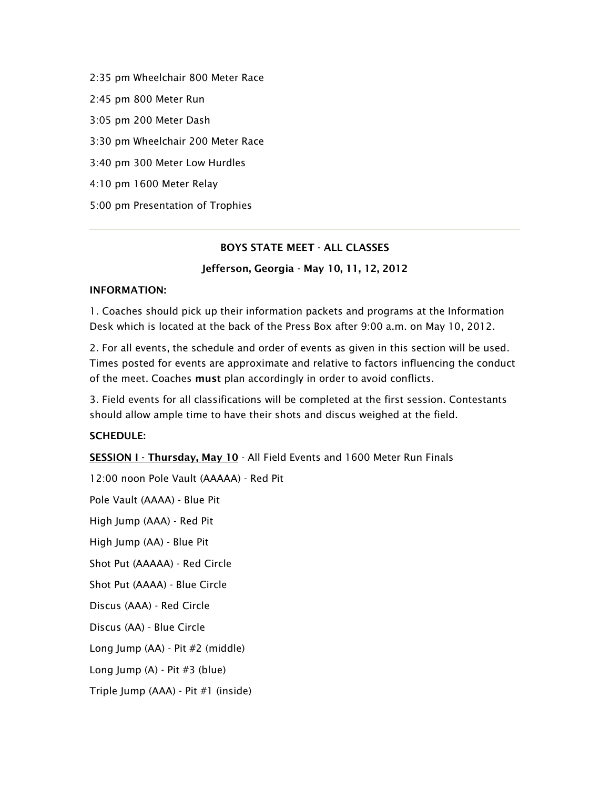*2:35 pm Wheelchair 800 Meter Race 2:45 pm 800 Meter Run 3:05 pm 200 Meter Dash 3:30 pm Wheelchair 200 Meter Race 3:40 pm 300 Meter Low Hurdles 4:10 pm 1600 Meter Relay 5:00 pm Presentation of Trophies* 

## **BOYS STATE MEET - ALL CLASSES**

## **Jefferson, Georgia - May 10, 11, 12, 2012**

#### **INFORMATION:**

*1. Coaches should pick up their information packets and programs at the Information Desk which is located at the back of the Press Box after 9:00 a.m. on May 10, 2012.* 

*2. For all events, the schedule and order of events as given in this section will be used. Times posted for events are approximate and relative to factors influencing the conduct of the meet. Coaches* **must** *plan accordingly in order to avoid conflicts.* 

*3. Field events for all classifications will be completed at the first session. Contestants should allow ample time to have their shots and discus weighed at the field.* 

## **SCHEDULE:**

**SESSION I - Thursday, May 10** *- All Field Events and 1600 Meter Run Finals* 

*12:00 noon Pole Vault (AAAAA) - Red Pit Pole Vault (AAAA) - Blue Pit High Jump (AAA) - Red Pit High Jump (AA) - Blue Pit Shot Put (AAAAA) - Red Circle Shot Put (AAAA) - Blue Circle Discus (AAA) - Red Circle Discus (AA) - Blue Circle Long Jump (AA) - Pit #2 (middle) Long Jump (A) - Pit #3 (blue) Triple Jump (AAA) - Pit #1 (inside)*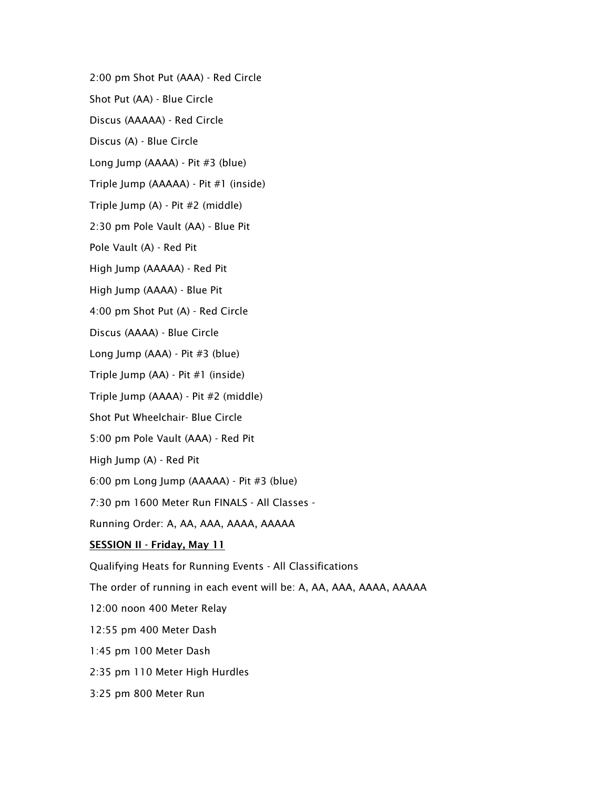*2:00 pm Shot Put (AAA) - Red Circle* 

*Shot Put (AA) - Blue Circle* 

*Discus (AAAAA) - Red Circle* 

*Discus (A) - Blue Circle* 

*Long Jump (AAAA) - Pit #3 (blue)* 

*Triple Jump (AAAAA) - Pit #1 (inside)* 

*Triple Jump (A) - Pit #2 (middle)* 

*2:30 pm Pole Vault (AA) - Blue Pit* 

*Pole Vault (A) - Red Pit* 

*High Jump (AAAAA) - Red Pit* 

*High Jump (AAAA) - Blue Pit* 

*4:00 pm Shot Put (A) - Red Circle* 

*Discus (AAAA) - Blue Circle* 

*Long Jump (AAA) - Pit #3 (blue)* 

*Triple Jump (AA) - Pit #1 (inside)* 

*Triple Jump (AAAA) - Pit #2 (middle)* 

*Shot Put Wheelchair- Blue Circle* 

*5:00 pm Pole Vault (AAA) - Red Pit* 

*High Jump (A) - Red Pit* 

*6:00 pm Long Jump (AAAAA) - Pit #3 (blue)* 

*7:30 pm 1600 Meter Run FINALS - All Classes -* 

*Running Order: A, AA, AAA, AAAA, AAAAA* 

## **SESSION II - Friday, May 11**

*Qualifying Heats for Running Events - All Classifications* 

*The order of running in each event will be: A, AA, AAA, AAAA, AAAAA* 

*12:00 noon 400 Meter Relay* 

*12:55 pm 400 Meter Dash* 

*1:45 pm 100 Meter Dash* 

*2:35 pm 110 Meter High Hurdles* 

*3:25 pm 800 Meter Run*